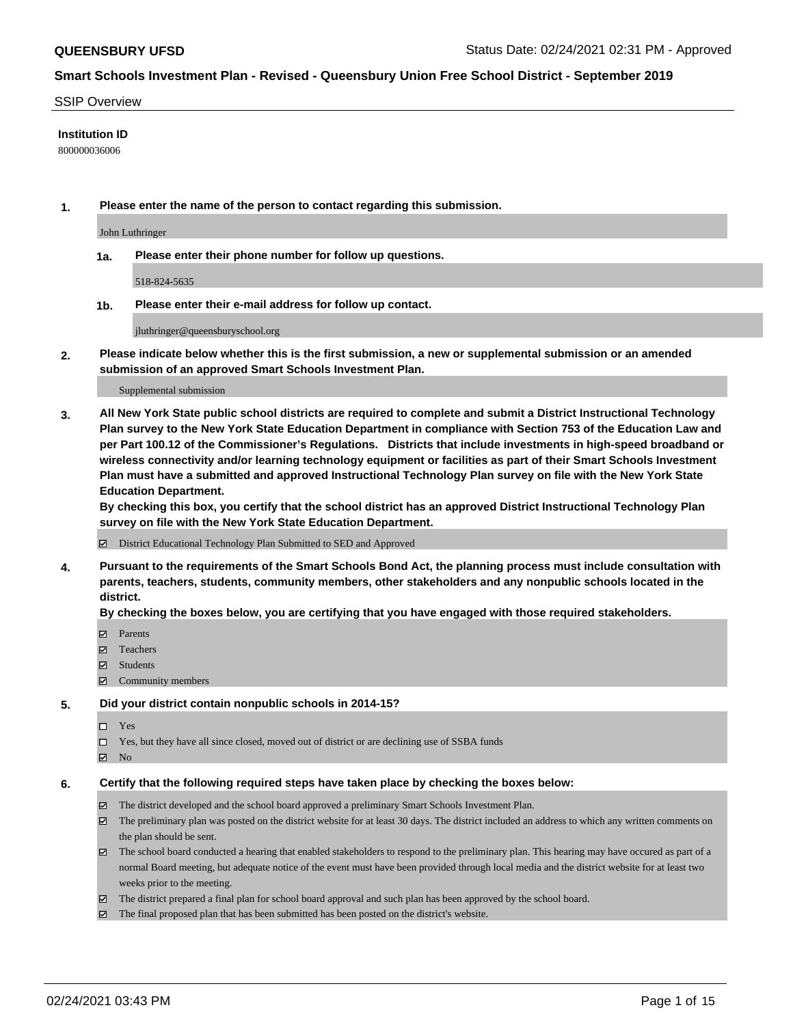#### SSIP Overview

### **Institution ID**

800000036006

**1. Please enter the name of the person to contact regarding this submission.**

John Luthringer

**1a. Please enter their phone number for follow up questions.**

518-824-5635

**1b. Please enter their e-mail address for follow up contact.**

jluthringer@queensburyschool.org

**2. Please indicate below whether this is the first submission, a new or supplemental submission or an amended submission of an approved Smart Schools Investment Plan.**

#### Supplemental submission

**3. All New York State public school districts are required to complete and submit a District Instructional Technology Plan survey to the New York State Education Department in compliance with Section 753 of the Education Law and per Part 100.12 of the Commissioner's Regulations. Districts that include investments in high-speed broadband or wireless connectivity and/or learning technology equipment or facilities as part of their Smart Schools Investment Plan must have a submitted and approved Instructional Technology Plan survey on file with the New York State Education Department.** 

**By checking this box, you certify that the school district has an approved District Instructional Technology Plan survey on file with the New York State Education Department.**

District Educational Technology Plan Submitted to SED and Approved

**4. Pursuant to the requirements of the Smart Schools Bond Act, the planning process must include consultation with parents, teachers, students, community members, other stakeholders and any nonpublic schools located in the district.** 

#### **By checking the boxes below, you are certifying that you have engaged with those required stakeholders.**

- **Ø** Parents
- Teachers
- Students
- $\Xi$  Community members

#### **5. Did your district contain nonpublic schools in 2014-15?**

- □ Yes
- □ Yes, but they have all since closed, moved out of district or are declining use of SSBA funds
- **Ø** No

#### **6. Certify that the following required steps have taken place by checking the boxes below:**

- The district developed and the school board approved a preliminary Smart Schools Investment Plan.
- The preliminary plan was posted on the district website for at least 30 days. The district included an address to which any written comments on the plan should be sent.
- The school board conducted a hearing that enabled stakeholders to respond to the preliminary plan. This hearing may have occured as part of a normal Board meeting, but adequate notice of the event must have been provided through local media and the district website for at least two weeks prior to the meeting.
- The district prepared a final plan for school board approval and such plan has been approved by the school board.
- $\boxtimes$  The final proposed plan that has been submitted has been posted on the district's website.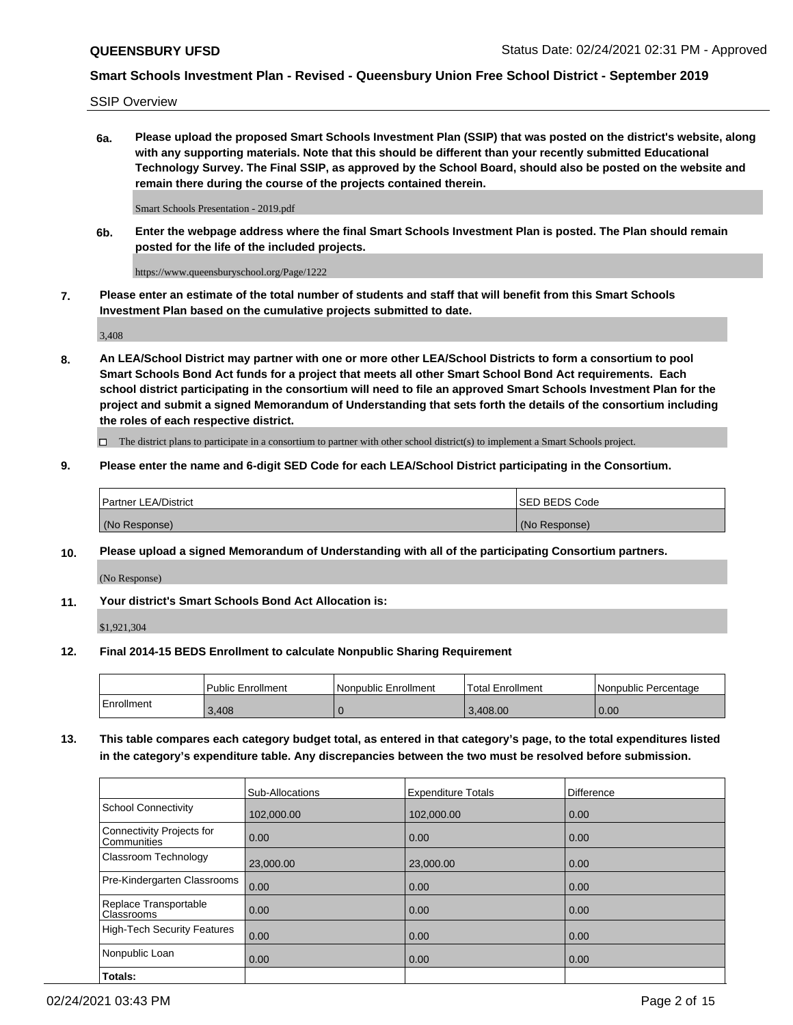SSIP Overview

**6a. Please upload the proposed Smart Schools Investment Plan (SSIP) that was posted on the district's website, along with any supporting materials. Note that this should be different than your recently submitted Educational Technology Survey. The Final SSIP, as approved by the School Board, should also be posted on the website and remain there during the course of the projects contained therein.**

Smart Schools Presentation - 2019.pdf

**6b. Enter the webpage address where the final Smart Schools Investment Plan is posted. The Plan should remain posted for the life of the included projects.**

https://www.queensburyschool.org/Page/1222

**7. Please enter an estimate of the total number of students and staff that will benefit from this Smart Schools Investment Plan based on the cumulative projects submitted to date.**

3,408

**8. An LEA/School District may partner with one or more other LEA/School Districts to form a consortium to pool Smart Schools Bond Act funds for a project that meets all other Smart School Bond Act requirements. Each school district participating in the consortium will need to file an approved Smart Schools Investment Plan for the project and submit a signed Memorandum of Understanding that sets forth the details of the consortium including the roles of each respective district.**

 $\Box$  The district plans to participate in a consortium to partner with other school district(s) to implement a Smart Schools project.

## **9. Please enter the name and 6-digit SED Code for each LEA/School District participating in the Consortium.**

| Partner LEA/District | <b>ISED BEDS Code</b> |
|----------------------|-----------------------|
| (No Response)        | (No Response)         |

## **10. Please upload a signed Memorandum of Understanding with all of the participating Consortium partners.**

(No Response)

**11. Your district's Smart Schools Bond Act Allocation is:**

\$1,921,304

#### **12. Final 2014-15 BEDS Enrollment to calculate Nonpublic Sharing Requirement**

|            | Public Enrollment | Nonpublic Enrollment | Total Enrollment | Nonpublic Percentage |
|------------|-------------------|----------------------|------------------|----------------------|
| Enrollment | 3,408             |                      | 3.408.00         | 0.00                 |

**13. This table compares each category budget total, as entered in that category's page, to the total expenditures listed in the category's expenditure table. Any discrepancies between the two must be resolved before submission.**

|                                          | Sub-Allocations | <b>Expenditure Totals</b> | <b>Difference</b> |
|------------------------------------------|-----------------|---------------------------|-------------------|
| <b>School Connectivity</b>               | 102,000.00      | 102,000.00                | 0.00              |
| Connectivity Projects for<br>Communities | 0.00            | 0.00                      | 0.00              |
| Classroom Technology                     | 23,000.00       | 23,000.00                 | 0.00              |
| Pre-Kindergarten Classrooms              | 0.00            | 0.00                      | 0.00              |
| Replace Transportable<br>Classrooms      | 0.00            | 0.00                      | 0.00              |
| High-Tech Security Features              | 0.00            | 0.00                      | 0.00              |
| Nonpublic Loan                           | 0.00            | 0.00                      | 0.00              |
| Totals:                                  |                 |                           |                   |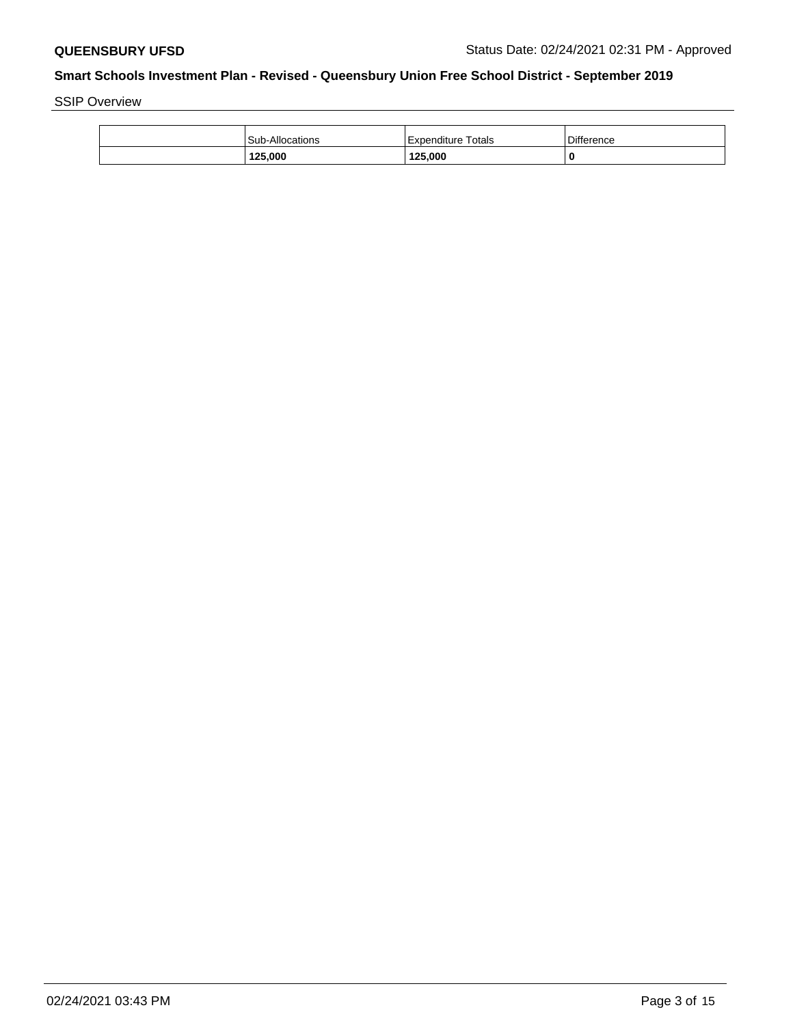SSIP Overview

| 125,000                | 125,000                   | C                 |
|------------------------|---------------------------|-------------------|
| <b>Sub-Allocations</b> | <b>Expenditure Totals</b> | <b>Difference</b> |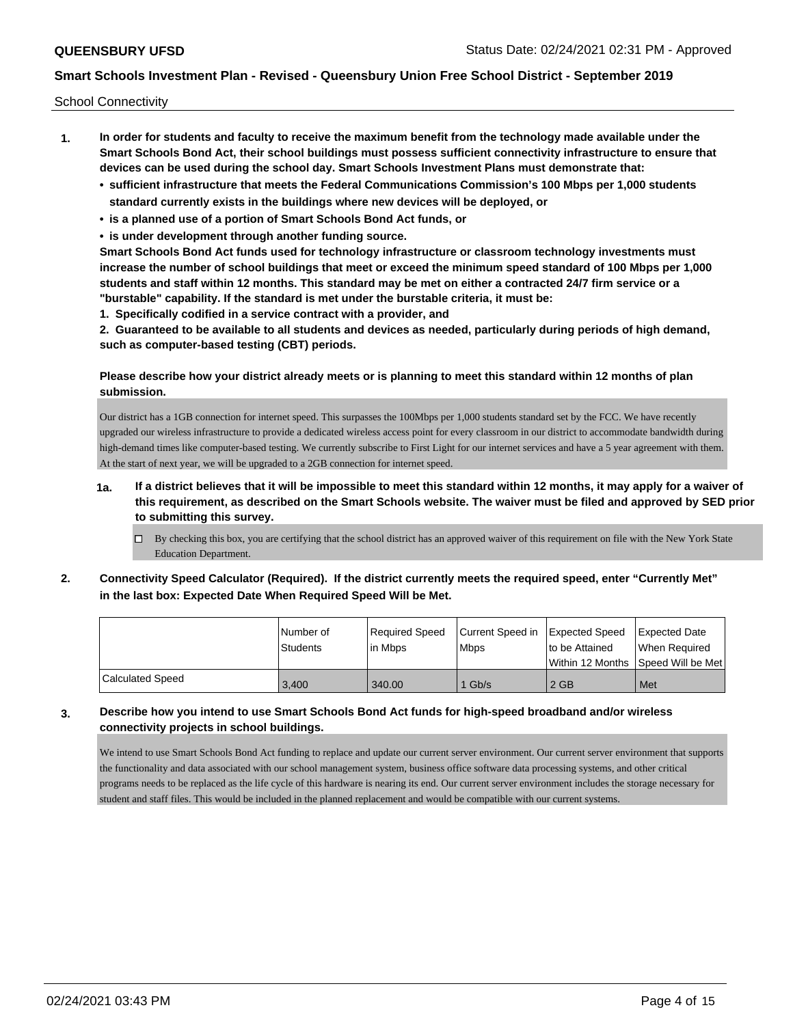School Connectivity

- **1. In order for students and faculty to receive the maximum benefit from the technology made available under the Smart Schools Bond Act, their school buildings must possess sufficient connectivity infrastructure to ensure that devices can be used during the school day. Smart Schools Investment Plans must demonstrate that:**
	- **• sufficient infrastructure that meets the Federal Communications Commission's 100 Mbps per 1,000 students standard currently exists in the buildings where new devices will be deployed, or**
	- **• is a planned use of a portion of Smart Schools Bond Act funds, or**
	- **• is under development through another funding source.**

**Smart Schools Bond Act funds used for technology infrastructure or classroom technology investments must increase the number of school buildings that meet or exceed the minimum speed standard of 100 Mbps per 1,000 students and staff within 12 months. This standard may be met on either a contracted 24/7 firm service or a "burstable" capability. If the standard is met under the burstable criteria, it must be:**

**1. Specifically codified in a service contract with a provider, and**

**2. Guaranteed to be available to all students and devices as needed, particularly during periods of high demand, such as computer-based testing (CBT) periods.**

# **Please describe how your district already meets or is planning to meet this standard within 12 months of plan submission.**

Our district has a 1GB connection for internet speed. This surpasses the 100Mbps per 1,000 students standard set by the FCC. We have recently upgraded our wireless infrastructure to provide a dedicated wireless access point for every classroom in our district to accommodate bandwidth during high-demand times like computer-based testing. We currently subscribe to First Light for our internet services and have a 5 year agreement with them. At the start of next year, we will be upgraded to a 2GB connection for internet speed.

- **1a. If a district believes that it will be impossible to meet this standard within 12 months, it may apply for a waiver of this requirement, as described on the Smart Schools website. The waiver must be filed and approved by SED prior to submitting this survey.**
	- $\Box$  By checking this box, you are certifying that the school district has an approved waiver of this requirement on file with the New York State Education Department.
- **2. Connectivity Speed Calculator (Required). If the district currently meets the required speed, enter "Currently Met" in the last box: Expected Date When Required Speed Will be Met.**

|                  | l Number of | Reauired Speed | Current Speed in | <b>Expected Speed</b> | Expected Date                           |
|------------------|-------------|----------------|------------------|-----------------------|-----------------------------------------|
|                  | Students    | l in Mbps      | l Mbps           | Ito be Attained       | When Required                           |
|                  |             |                |                  |                       | l Within 12 Months ISpeed Will be Met l |
| Calculated Speed | 3.400       | 340.00         | Gb/s             | 2 GB                  | Met                                     |

# **3. Describe how you intend to use Smart Schools Bond Act funds for high-speed broadband and/or wireless connectivity projects in school buildings.**

We intend to use Smart Schools Bond Act funding to replace and update our current server environment. Our current server environment that supports the functionality and data associated with our school management system, business office software data processing systems, and other critical programs needs to be replaced as the life cycle of this hardware is nearing its end. Our current server environment includes the storage necessary for student and staff files. This would be included in the planned replacement and would be compatible with our current systems.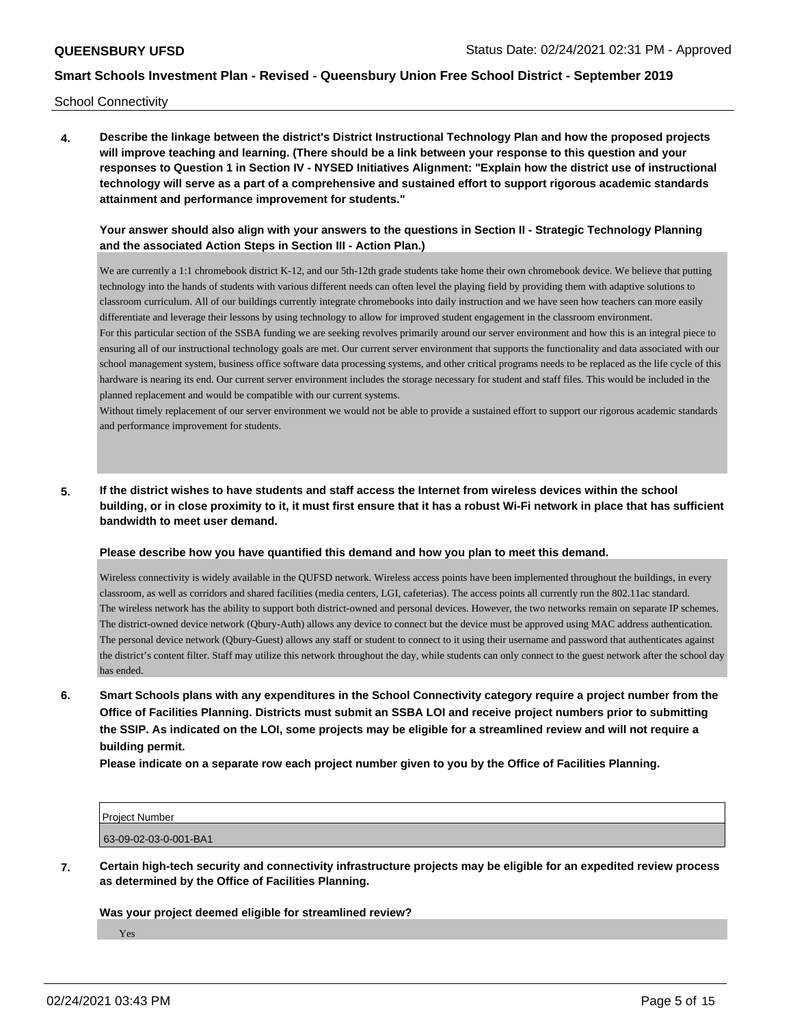School Connectivity

**4. Describe the linkage between the district's District Instructional Technology Plan and how the proposed projects will improve teaching and learning. (There should be a link between your response to this question and your responses to Question 1 in Section IV - NYSED Initiatives Alignment: "Explain how the district use of instructional technology will serve as a part of a comprehensive and sustained effort to support rigorous academic standards attainment and performance improvement for students."** 

## **Your answer should also align with your answers to the questions in Section II - Strategic Technology Planning and the associated Action Steps in Section III - Action Plan.)**

We are currently a 1:1 chromebook district K-12, and our 5th-12th grade students take home their own chromebook device. We believe that putting technology into the hands of students with various different needs can often level the playing field by providing them with adaptive solutions to classroom curriculum. All of our buildings currently integrate chromebooks into daily instruction and we have seen how teachers can more easily differentiate and leverage their lessons by using technology to allow for improved student engagement in the classroom environment. For this particular section of the SSBA funding we are seeking revolves primarily around our server environment and how this is an integral piece to ensuring all of our instructional technology goals are met. Our current server environment that supports the functionality and data associated with our school management system, business office software data processing systems, and other critical programs needs to be replaced as the life cycle of this hardware is nearing its end. Our current server environment includes the storage necessary for student and staff files. This would be included in the planned replacement and would be compatible with our current systems.

Without timely replacement of our server environment we would not be able to provide a sustained effort to support our rigorous academic standards and performance improvement for students.

**5. If the district wishes to have students and staff access the Internet from wireless devices within the school building, or in close proximity to it, it must first ensure that it has a robust Wi-Fi network in place that has sufficient bandwidth to meet user demand.**

#### **Please describe how you have quantified this demand and how you plan to meet this demand.**

Wireless connectivity is widely available in the QUFSD network. Wireless access points have been implemented throughout the buildings, in every classroom, as well as corridors and shared facilities (media centers, LGI, cafeterias). The access points all currently run the 802.11ac standard. The wireless network has the ability to support both district-owned and personal devices. However, the two networks remain on separate IP schemes. The district-owned device network (Qbury-Auth) allows any device to connect but the device must be approved using MAC address authentication. The personal device network (Qbury-Guest) allows any staff or student to connect to it using their username and password that authenticates against the district's content filter. Staff may utilize this network throughout the day, while students can only connect to the guest network after the school day has ended.

**6. Smart Schools plans with any expenditures in the School Connectivity category require a project number from the Office of Facilities Planning. Districts must submit an SSBA LOI and receive project numbers prior to submitting the SSIP. As indicated on the LOI, some projects may be eligible for a streamlined review and will not require a building permit.**

**Please indicate on a separate row each project number given to you by the Office of Facilities Planning.**

| <b>Project Number</b> |  |
|-----------------------|--|
| 63-09-02-03-0-001-BA1 |  |

**7. Certain high-tech security and connectivity infrastructure projects may be eligible for an expedited review process as determined by the Office of Facilities Planning.**

## **Was your project deemed eligible for streamlined review?**

Yes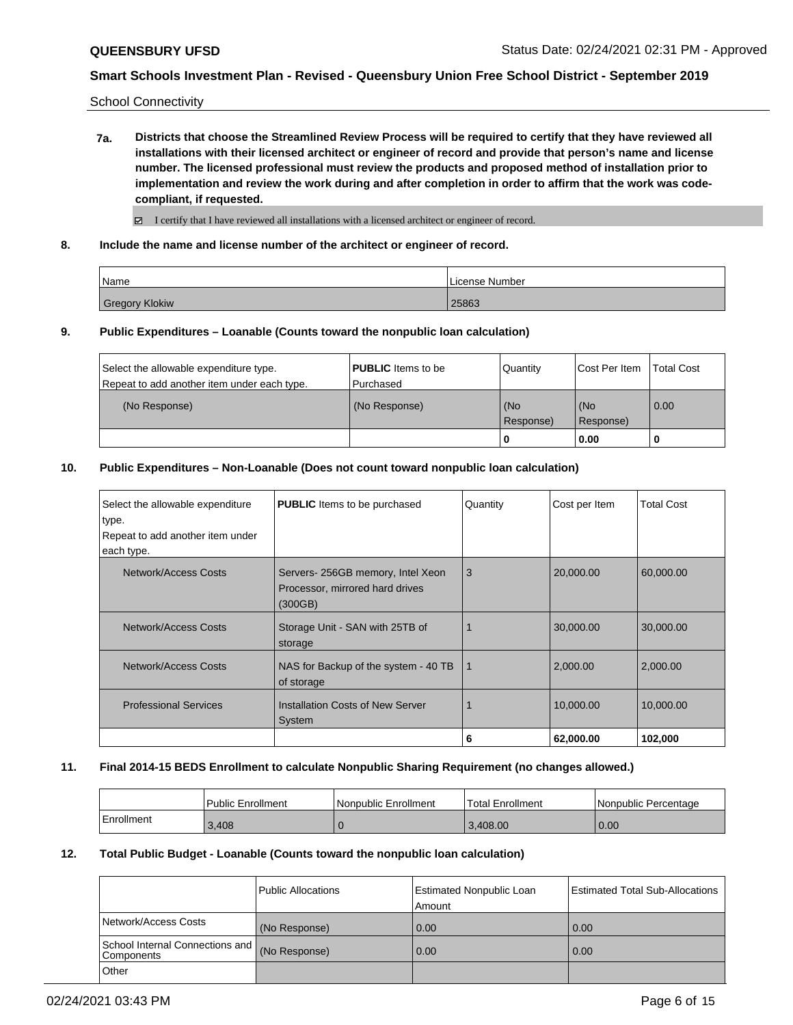School Connectivity

**7a. Districts that choose the Streamlined Review Process will be required to certify that they have reviewed all installations with their licensed architect or engineer of record and provide that person's name and license number. The licensed professional must review the products and proposed method of installation prior to implementation and review the work during and after completion in order to affirm that the work was codecompliant, if requested.**

 $\boxtimes$  I certify that I have reviewed all installations with a licensed architect or engineer of record.

**8. Include the name and license number of the architect or engineer of record.**

| Name                  | License Number |
|-----------------------|----------------|
| <b>Gregory Klokiw</b> | 25863          |

#### **9. Public Expenditures – Loanable (Counts toward the nonpublic loan calculation)**

|                                             |                           |           | 0.00          |                   |
|---------------------------------------------|---------------------------|-----------|---------------|-------------------|
|                                             |                           | Response) | Response)     |                   |
| (No Response)                               | (No Response)             | (No       | l (No         | 0.00              |
| Repeat to add another item under each type. | l Purchased               |           |               |                   |
| Select the allowable expenditure type.      | <b>PUBLIC</b> Items to be | Quantity  | Cost Per Item | <b>Total Cost</b> |

### **10. Public Expenditures – Non-Loanable (Does not count toward nonpublic loan calculation)**

| Select the allowable expenditure<br>type.<br>Repeat to add another item under<br>each type. | <b>PUBLIC</b> Items to be purchased                                             | Quantity | Cost per Item | Total Cost |
|---------------------------------------------------------------------------------------------|---------------------------------------------------------------------------------|----------|---------------|------------|
| Network/Access Costs                                                                        | Servers- 256GB memory, Intel Xeon<br>Processor, mirrored hard drives<br>(300GB) | 3        | 20,000.00     | 60,000.00  |
| Network/Access Costs                                                                        | Storage Unit - SAN with 25TB of<br>storage                                      |          | 30,000.00     | 30,000.00  |
| Network/Access Costs                                                                        | NAS for Backup of the system - 40 TB<br>of storage                              | 1        | 2,000.00      | 2,000.00   |
| <b>Professional Services</b>                                                                | Installation Costs of New Server<br>System                                      |          | 10,000.00     | 10,000.00  |
|                                                                                             |                                                                                 | 6        | 62,000.00     | 102,000    |

#### **11. Final 2014-15 BEDS Enrollment to calculate Nonpublic Sharing Requirement (no changes allowed.)**

|            | <b>Public Enrollment</b> | l Nonpublic Enrollment | <b>Total Enrollment</b> | l Nonpublic Percentage |
|------------|--------------------------|------------------------|-------------------------|------------------------|
| Enrollment | 3,408                    |                        | 3.408.00                | 0.00                   |

#### **12. Total Public Budget - Loanable (Counts toward the nonpublic loan calculation)**

|                                               | <b>Public Allocations</b> | Estimated Nonpublic Loan<br>Amount | <b>Estimated Total Sub-Allocations</b> |
|-----------------------------------------------|---------------------------|------------------------------------|----------------------------------------|
| Network/Access Costs                          | (No Response)             | 0.00                               | 0.00                                   |
| School Internal Connections and<br>Components | (No Response)             | 0.00                               | 0.00                                   |
| Other                                         |                           |                                    |                                        |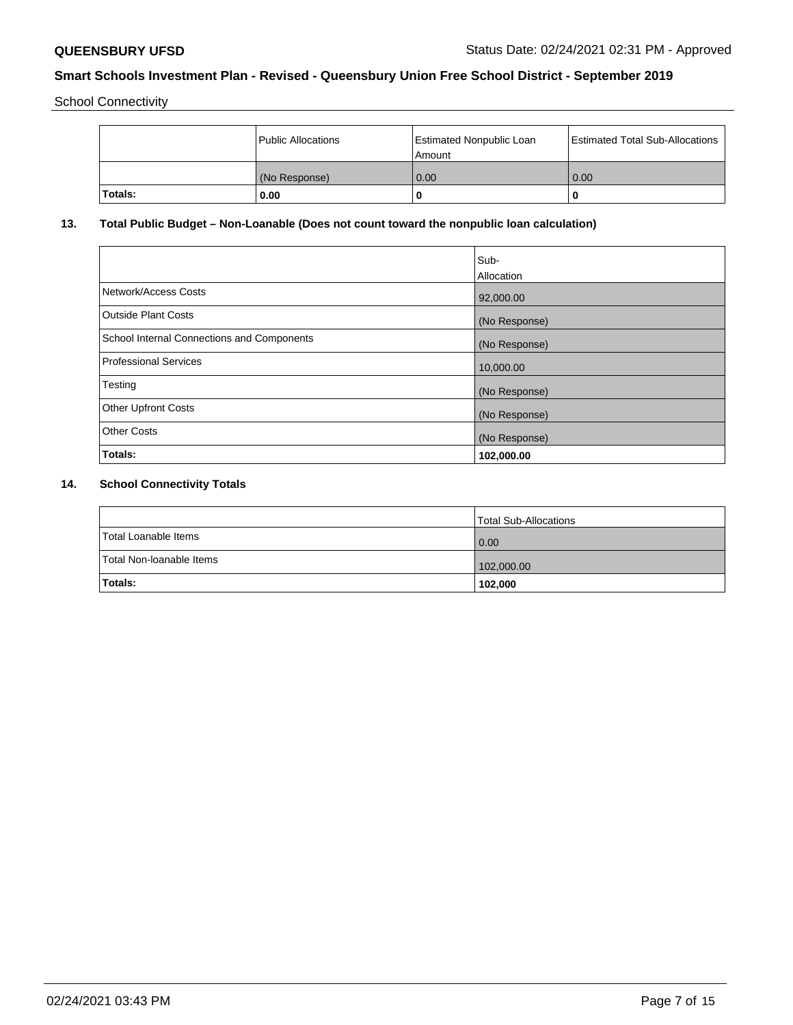School Connectivity

| Public Allocations<br>Amount |               | Estimated Nonpublic Loan | Estimated Total Sub-Allocations |
|------------------------------|---------------|--------------------------|---------------------------------|
|                              | (No Response) | 0.00                     | 0.00                            |
| ˈTotals:                     | 0.00          | Ð                        | 0                               |

# **13. Total Public Budget – Non-Loanable (Does not count toward the nonpublic loan calculation)**

|                                                   | Sub-<br>Allocation |
|---------------------------------------------------|--------------------|
| Network/Access Costs                              | 92,000.00          |
| <b>Outside Plant Costs</b>                        | (No Response)      |
| <b>School Internal Connections and Components</b> | (No Response)      |
| Professional Services                             | 10,000.00          |
| Testing                                           | (No Response)      |
| <b>Other Upfront Costs</b>                        | (No Response)      |
| <b>Other Costs</b>                                | (No Response)      |
| <b>Totals:</b>                                    | 102,000.00         |

# **14. School Connectivity Totals**

|                          | Total Sub-Allocations |
|--------------------------|-----------------------|
| Total Loanable Items     | 0.00                  |
| Total Non-Ioanable Items | 102,000.00            |
| Totals:                  | 102,000               |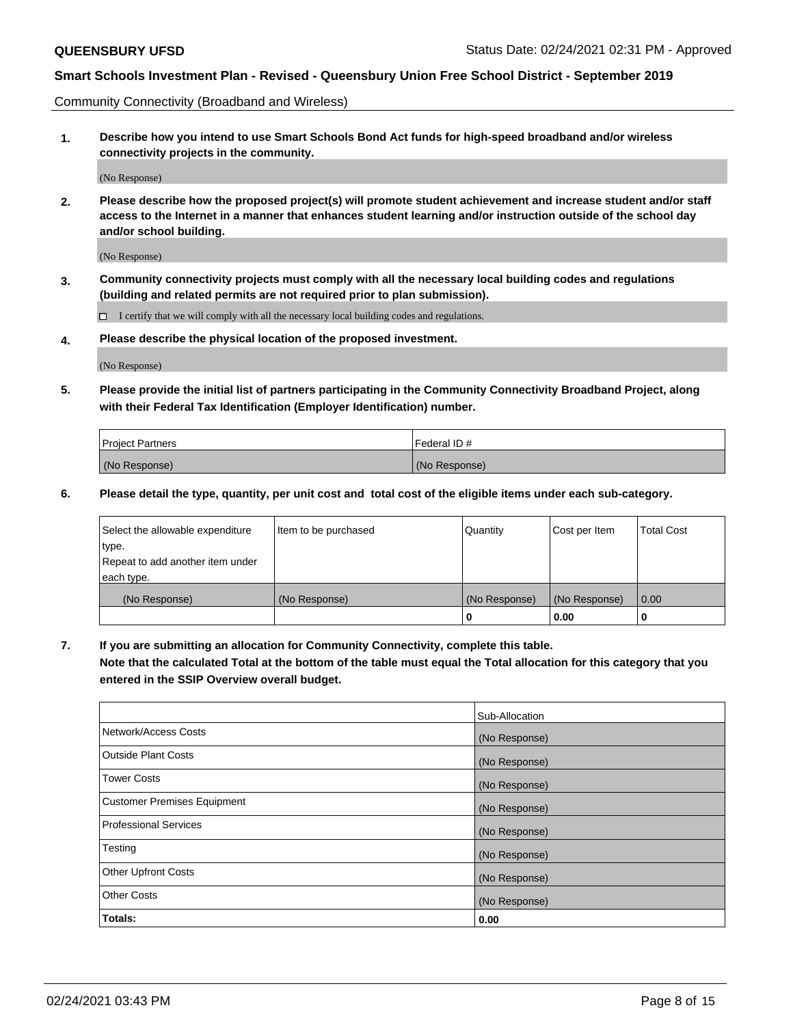Community Connectivity (Broadband and Wireless)

**1. Describe how you intend to use Smart Schools Bond Act funds for high-speed broadband and/or wireless connectivity projects in the community.**

(No Response)

**2. Please describe how the proposed project(s) will promote student achievement and increase student and/or staff access to the Internet in a manner that enhances student learning and/or instruction outside of the school day and/or school building.**

(No Response)

**3. Community connectivity projects must comply with all the necessary local building codes and regulations (building and related permits are not required prior to plan submission).**

 $\Box$  I certify that we will comply with all the necessary local building codes and regulations.

**4. Please describe the physical location of the proposed investment.**

(No Response)

**5. Please provide the initial list of partners participating in the Community Connectivity Broadband Project, along with their Federal Tax Identification (Employer Identification) number.**

| <b>Project Partners</b> | l Federal ID # |
|-------------------------|----------------|
| (No Response)           | (No Response)  |

**6. Please detail the type, quantity, per unit cost and total cost of the eligible items under each sub-category.**

| Select the allowable expenditure | Item to be purchased | Quantity      | Cost per Item | <b>Total Cost</b> |
|----------------------------------|----------------------|---------------|---------------|-------------------|
| type.                            |                      |               |               |                   |
| Repeat to add another item under |                      |               |               |                   |
| each type.                       |                      |               |               |                   |
| (No Response)                    | (No Response)        | (No Response) | (No Response) | 0.00              |
|                                  |                      | o             | 0.00          |                   |

**7. If you are submitting an allocation for Community Connectivity, complete this table.**

**Note that the calculated Total at the bottom of the table must equal the Total allocation for this category that you entered in the SSIP Overview overall budget.**

|                                    | Sub-Allocation |
|------------------------------------|----------------|
| Network/Access Costs               | (No Response)  |
| Outside Plant Costs                | (No Response)  |
| <b>Tower Costs</b>                 | (No Response)  |
| <b>Customer Premises Equipment</b> | (No Response)  |
| <b>Professional Services</b>       | (No Response)  |
| Testing                            | (No Response)  |
| <b>Other Upfront Costs</b>         | (No Response)  |
| <b>Other Costs</b>                 | (No Response)  |
| Totals:                            | 0.00           |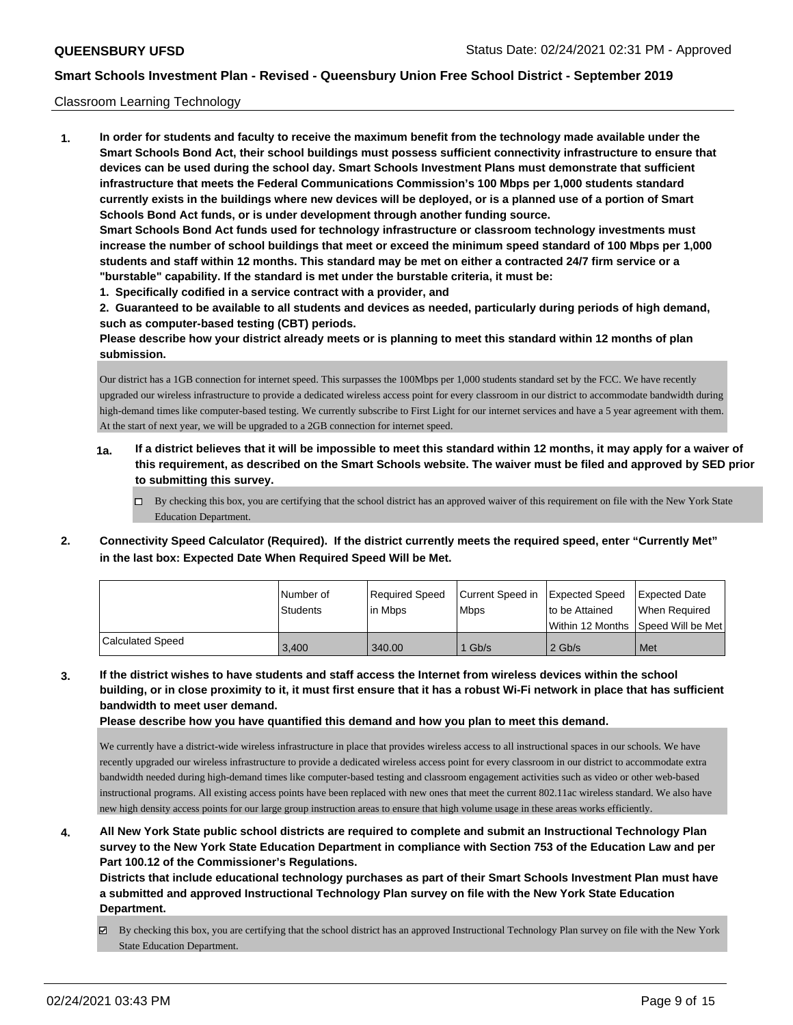### Classroom Learning Technology

**1. In order for students and faculty to receive the maximum benefit from the technology made available under the Smart Schools Bond Act, their school buildings must possess sufficient connectivity infrastructure to ensure that devices can be used during the school day. Smart Schools Investment Plans must demonstrate that sufficient infrastructure that meets the Federal Communications Commission's 100 Mbps per 1,000 students standard currently exists in the buildings where new devices will be deployed, or is a planned use of a portion of Smart Schools Bond Act funds, or is under development through another funding source. Smart Schools Bond Act funds used for technology infrastructure or classroom technology investments must increase the number of school buildings that meet or exceed the minimum speed standard of 100 Mbps per 1,000 students and staff within 12 months. This standard may be met on either a contracted 24/7 firm service or a "burstable" capability. If the standard is met under the burstable criteria, it must be:**

**1. Specifically codified in a service contract with a provider, and**

**2. Guaranteed to be available to all students and devices as needed, particularly during periods of high demand, such as computer-based testing (CBT) periods.**

**Please describe how your district already meets or is planning to meet this standard within 12 months of plan submission.**

Our district has a 1GB connection for internet speed. This surpasses the 100Mbps per 1,000 students standard set by the FCC. We have recently upgraded our wireless infrastructure to provide a dedicated wireless access point for every classroom in our district to accommodate bandwidth during high-demand times like computer-based testing. We currently subscribe to First Light for our internet services and have a 5 year agreement with them. At the start of next year, we will be upgraded to a 2GB connection for internet speed.

- **1a. If a district believes that it will be impossible to meet this standard within 12 months, it may apply for a waiver of this requirement, as described on the Smart Schools website. The waiver must be filed and approved by SED prior to submitting this survey.**
	- By checking this box, you are certifying that the school district has an approved waiver of this requirement on file with the New York State Education Department.
- **2. Connectivity Speed Calculator (Required). If the district currently meets the required speed, enter "Currently Met" in the last box: Expected Date When Required Speed Will be Met.**

|                  | l Number of<br><b>Students</b> | Required Speed<br>lin Mbps | Current Speed in Expected Speed<br><b>Mbps</b> | to be Attained                     | <b>Expected Date</b><br>When Required |
|------------------|--------------------------------|----------------------------|------------------------------------------------|------------------------------------|---------------------------------------|
|                  |                                |                            |                                                | Within 12 Months SDeed Will be Met |                                       |
| Calculated Speed | 3,400                          | 340.00                     | $1$ Gb/s                                       | $2$ Gb/s                           | Met                                   |

**3. If the district wishes to have students and staff access the Internet from wireless devices within the school building, or in close proximity to it, it must first ensure that it has a robust Wi-Fi network in place that has sufficient bandwidth to meet user demand.**

**Please describe how you have quantified this demand and how you plan to meet this demand.**

We currently have a district-wide wireless infrastructure in place that provides wireless access to all instructional spaces in our schools. We have recently upgraded our wireless infrastructure to provide a dedicated wireless access point for every classroom in our district to accommodate extra bandwidth needed during high-demand times like computer-based testing and classroom engagement activities such as video or other web-based instructional programs. All existing access points have been replaced with new ones that meet the current 802.11ac wireless standard. We also have new high density access points for our large group instruction areas to ensure that high volume usage in these areas works efficiently.

**4. All New York State public school districts are required to complete and submit an Instructional Technology Plan survey to the New York State Education Department in compliance with Section 753 of the Education Law and per Part 100.12 of the Commissioner's Regulations.**

**Districts that include educational technology purchases as part of their Smart Schools Investment Plan must have a submitted and approved Instructional Technology Plan survey on file with the New York State Education Department.**

By checking this box, you are certifying that the school district has an approved Instructional Technology Plan survey on file with the New York State Education Department.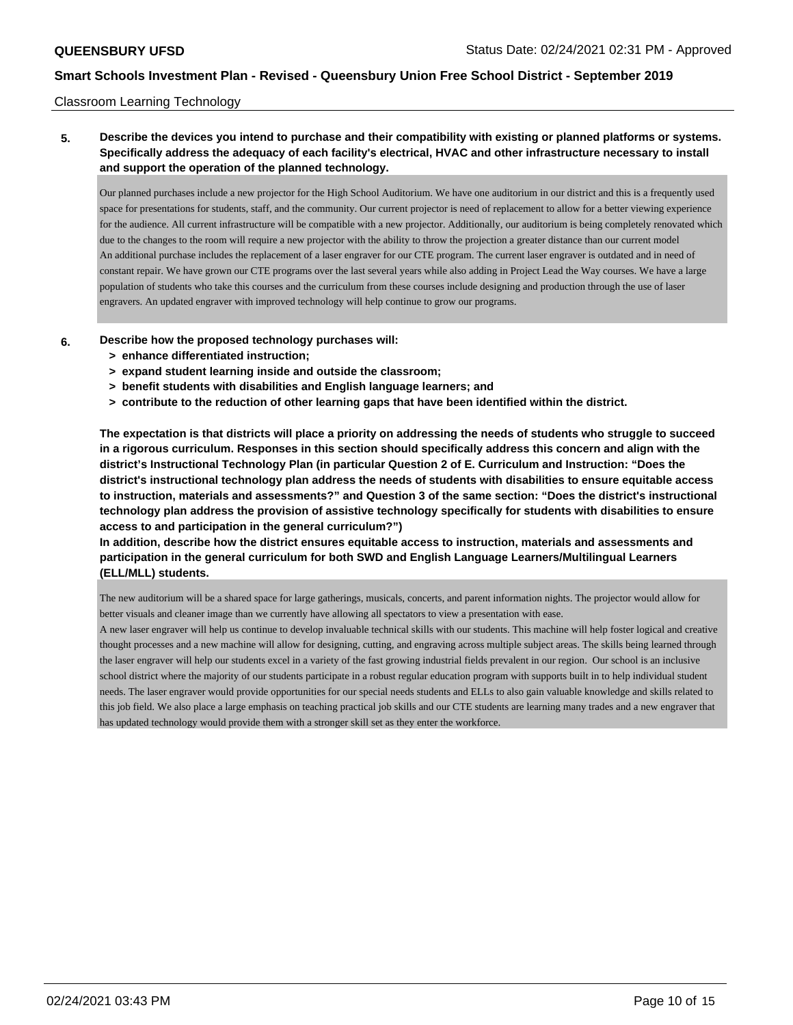#### Classroom Learning Technology

# **5. Describe the devices you intend to purchase and their compatibility with existing or planned platforms or systems. Specifically address the adequacy of each facility's electrical, HVAC and other infrastructure necessary to install and support the operation of the planned technology.**

Our planned purchases include a new projector for the High School Auditorium. We have one auditorium in our district and this is a frequently used space for presentations for students, staff, and the community. Our current projector is need of replacement to allow for a better viewing experience for the audience. All current infrastructure will be compatible with a new projector. Additionally, our auditorium is being completely renovated which due to the changes to the room will require a new projector with the ability to throw the projection a greater distance than our current model An additional purchase includes the replacement of a laser engraver for our CTE program. The current laser engraver is outdated and in need of constant repair. We have grown our CTE programs over the last several years while also adding in Project Lead the Way courses. We have a large population of students who take this courses and the curriculum from these courses include designing and production through the use of laser engravers. An updated engraver with improved technology will help continue to grow our programs.

- **6. Describe how the proposed technology purchases will:**
	- **> enhance differentiated instruction;**
	- **> expand student learning inside and outside the classroom;**
	- **> benefit students with disabilities and English language learners; and**
	- **> contribute to the reduction of other learning gaps that have been identified within the district.**

**The expectation is that districts will place a priority on addressing the needs of students who struggle to succeed in a rigorous curriculum. Responses in this section should specifically address this concern and align with the district's Instructional Technology Plan (in particular Question 2 of E. Curriculum and Instruction: "Does the district's instructional technology plan address the needs of students with disabilities to ensure equitable access to instruction, materials and assessments?" and Question 3 of the same section: "Does the district's instructional technology plan address the provision of assistive technology specifically for students with disabilities to ensure access to and participation in the general curriculum?")**

**In addition, describe how the district ensures equitable access to instruction, materials and assessments and participation in the general curriculum for both SWD and English Language Learners/Multilingual Learners (ELL/MLL) students.**

The new auditorium will be a shared space for large gatherings, musicals, concerts, and parent information nights. The projector would allow for better visuals and cleaner image than we currently have allowing all spectators to view a presentation with ease.

A new laser engraver will help us continue to develop invaluable technical skills with our students. This machine will help foster logical and creative thought processes and a new machine will allow for designing, cutting, and engraving across multiple subject areas. The skills being learned through the laser engraver will help our students excel in a variety of the fast growing industrial fields prevalent in our region. Our school is an inclusive school district where the majority of our students participate in a robust regular education program with supports built in to help individual student needs. The laser engraver would provide opportunities for our special needs students and ELLs to also gain valuable knowledge and skills related to this job field. We also place a large emphasis on teaching practical job skills and our CTE students are learning many trades and a new engraver that has updated technology would provide them with a stronger skill set as they enter the workforce.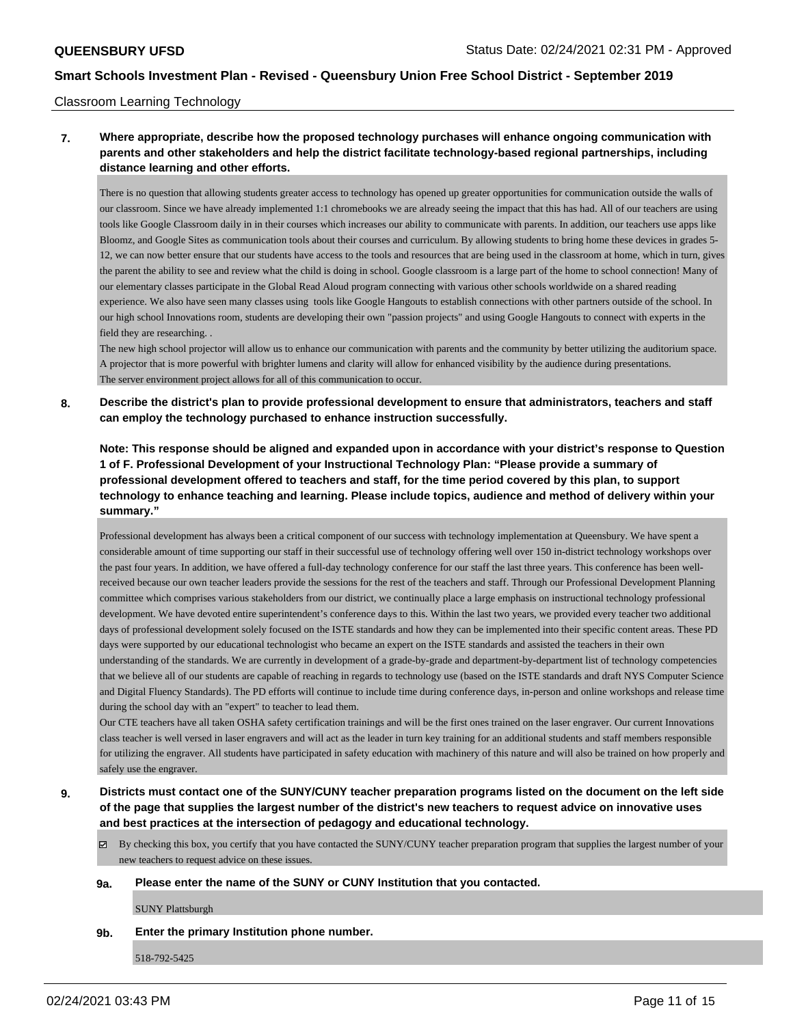#### Classroom Learning Technology

# **7. Where appropriate, describe how the proposed technology purchases will enhance ongoing communication with parents and other stakeholders and help the district facilitate technology-based regional partnerships, including distance learning and other efforts.**

There is no question that allowing students greater access to technology has opened up greater opportunities for communication outside the walls of our classroom. Since we have already implemented 1:1 chromebooks we are already seeing the impact that this has had. All of our teachers are using tools like Google Classroom daily in in their courses which increases our ability to communicate with parents. In addition, our teachers use apps like Bloomz, and Google Sites as communication tools about their courses and curriculum. By allowing students to bring home these devices in grades 5- 12, we can now better ensure that our students have access to the tools and resources that are being used in the classroom at home, which in turn, gives the parent the ability to see and review what the child is doing in school. Google classroom is a large part of the home to school connection! Many of our elementary classes participate in the Global Read Aloud program connecting with various other schools worldwide on a shared reading experience. We also have seen many classes using tools like Google Hangouts to establish connections with other partners outside of the school. In our high school Innovations room, students are developing their own "passion projects" and using Google Hangouts to connect with experts in the field they are researching. .

The new high school projector will allow us to enhance our communication with parents and the community by better utilizing the auditorium space. A projector that is more powerful with brighter lumens and clarity will allow for enhanced visibility by the audience during presentations. The server environment project allows for all of this communication to occur.

**8. Describe the district's plan to provide professional development to ensure that administrators, teachers and staff can employ the technology purchased to enhance instruction successfully.**

**Note: This response should be aligned and expanded upon in accordance with your district's response to Question 1 of F. Professional Development of your Instructional Technology Plan: "Please provide a summary of professional development offered to teachers and staff, for the time period covered by this plan, to support technology to enhance teaching and learning. Please include topics, audience and method of delivery within your summary."**

Professional development has always been a critical component of our success with technology implementation at Queensbury. We have spent a considerable amount of time supporting our staff in their successful use of technology offering well over 150 in-district technology workshops over the past four years. In addition, we have offered a full-day technology conference for our staff the last three years. This conference has been wellreceived because our own teacher leaders provide the sessions for the rest of the teachers and staff. Through our Professional Development Planning committee which comprises various stakeholders from our district, we continually place a large emphasis on instructional technology professional development. We have devoted entire superintendent's conference days to this. Within the last two years, we provided every teacher two additional days of professional development solely focused on the ISTE standards and how they can be implemented into their specific content areas. These PD days were supported by our educational technologist who became an expert on the ISTE standards and assisted the teachers in their own understanding of the standards. We are currently in development of a grade-by-grade and department-by-department list of technology competencies that we believe all of our students are capable of reaching in regards to technology use (based on the ISTE standards and draft NYS Computer Science and Digital Fluency Standards). The PD efforts will continue to include time during conference days, in-person and online workshops and release time during the school day with an "expert" to teacher to lead them.

Our CTE teachers have all taken OSHA safety certification trainings and will be the first ones trained on the laser engraver. Our current Innovations class teacher is well versed in laser engravers and will act as the leader in turn key training for an additional students and staff members responsible for utilizing the engraver. All students have participated in safety education with machinery of this nature and will also be trained on how properly and safely use the engraver.

**9. Districts must contact one of the SUNY/CUNY teacher preparation programs listed on the document on the left side of the page that supplies the largest number of the district's new teachers to request advice on innovative uses and best practices at the intersection of pedagogy and educational technology.**

 $\boxtimes$  By checking this box, you certify that you have contacted the SUNY/CUNY teacher preparation program that supplies the largest number of your new teachers to request advice on these issues.

#### **9a. Please enter the name of the SUNY or CUNY Institution that you contacted.**

SUNY Plattsburgh

**9b. Enter the primary Institution phone number.**

518-792-5425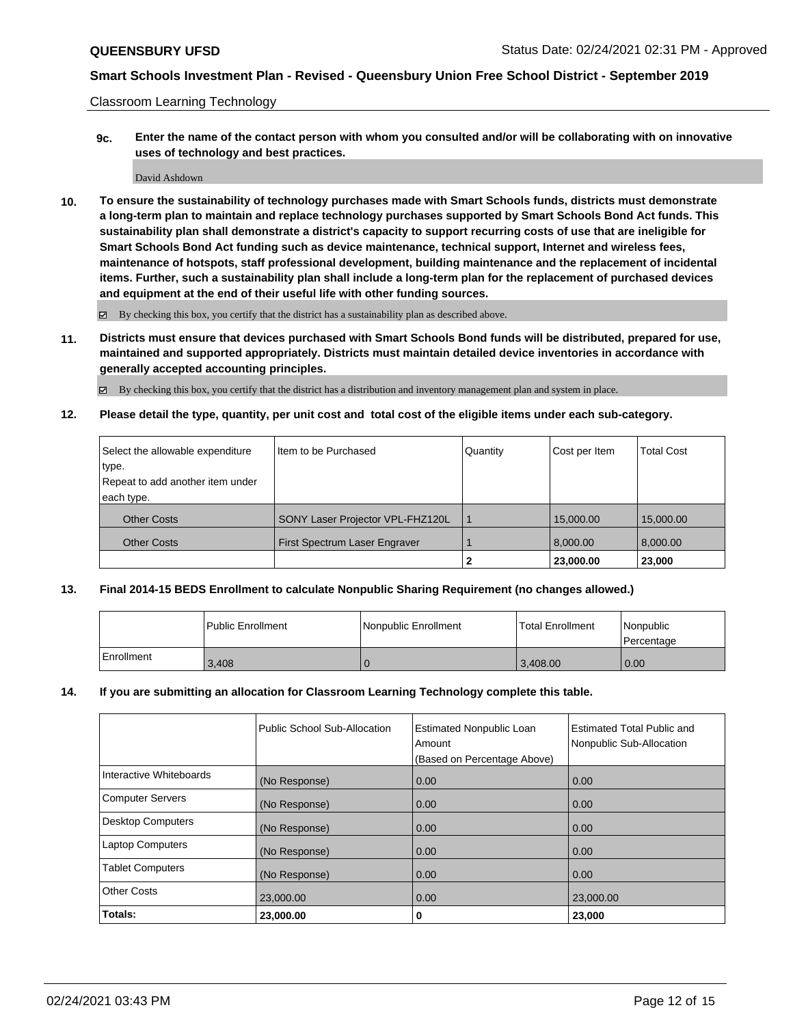Classroom Learning Technology

**9c. Enter the name of the contact person with whom you consulted and/or will be collaborating with on innovative uses of technology and best practices.**

David Ashdown

**10. To ensure the sustainability of technology purchases made with Smart Schools funds, districts must demonstrate a long-term plan to maintain and replace technology purchases supported by Smart Schools Bond Act funds. This sustainability plan shall demonstrate a district's capacity to support recurring costs of use that are ineligible for Smart Schools Bond Act funding such as device maintenance, technical support, Internet and wireless fees, maintenance of hotspots, staff professional development, building maintenance and the replacement of incidental items. Further, such a sustainability plan shall include a long-term plan for the replacement of purchased devices and equipment at the end of their useful life with other funding sources.**

By checking this box, you certify that the district has a sustainability plan as described above.

**11. Districts must ensure that devices purchased with Smart Schools Bond funds will be distributed, prepared for use, maintained and supported appropriately. Districts must maintain detailed device inventories in accordance with generally accepted accounting principles.**

By checking this box, you certify that the district has a distribution and inventory management plan and system in place.

**12. Please detail the type, quantity, per unit cost and total cost of the eligible items under each sub-category.**

| Select the allowable expenditure | I Item to be Purchased           | Quantity | Cost per Item | <b>Total Cost</b> |
|----------------------------------|----------------------------------|----------|---------------|-------------------|
| type.                            |                                  |          |               |                   |
| Repeat to add another item under |                                  |          |               |                   |
| each type.                       |                                  |          |               |                   |
| <b>Other Costs</b>               | SONY Laser Projector VPL-FHZ120L |          | 15,000.00     | 15,000.00         |
| <b>Other Costs</b>               | First Spectrum Laser Engraver    |          | 8,000.00      | 8,000.00          |
|                                  |                                  |          | 23,000.00     | 23,000            |

## **13. Final 2014-15 BEDS Enrollment to calculate Nonpublic Sharing Requirement (no changes allowed.)**

|            | Public Enrollment | l Nonpublic Enrollment | <b>Total Enrollment</b> | Nonpublic<br>Percentage |
|------------|-------------------|------------------------|-------------------------|-------------------------|
| Enrollment | 3,408             | ъ                      | 3,408.00                | 0.00                    |

## **14. If you are submitting an allocation for Classroom Learning Technology complete this table.**

|                          | Public School Sub-Allocation | <b>Estimated Nonpublic Loan</b><br>Amount | <b>Estimated Total Public and</b><br>Nonpublic Sub-Allocation |
|--------------------------|------------------------------|-------------------------------------------|---------------------------------------------------------------|
|                          |                              | (Based on Percentage Above)               |                                                               |
| Interactive Whiteboards  | (No Response)                | 0.00                                      | 0.00                                                          |
| <b>Computer Servers</b>  | (No Response)                | 0.00                                      | 0.00                                                          |
| <b>Desktop Computers</b> | (No Response)                | 0.00                                      | 0.00                                                          |
| <b>Laptop Computers</b>  | (No Response)                | 0.00                                      | 0.00                                                          |
| <b>Tablet Computers</b>  | (No Response)                | 0.00                                      | 0.00                                                          |
| <b>Other Costs</b>       | 23,000.00                    | 0.00                                      | 23,000.00                                                     |
| Totals:                  | 23,000.00                    | 0                                         | 23,000                                                        |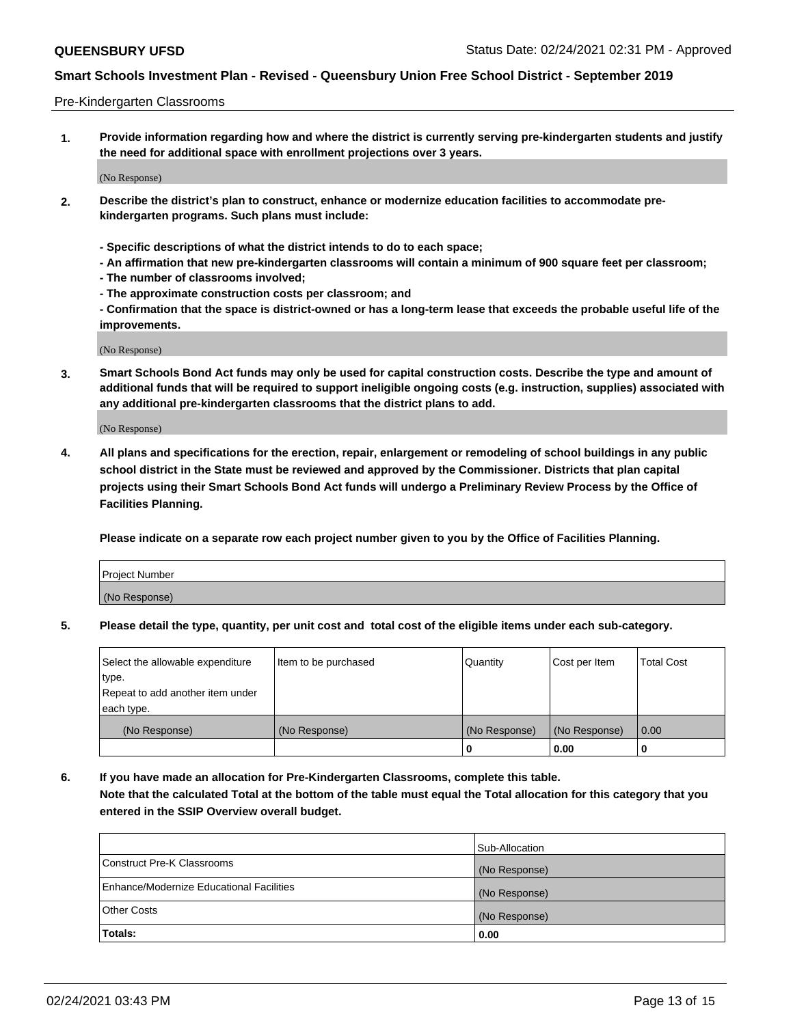#### Pre-Kindergarten Classrooms

**1. Provide information regarding how and where the district is currently serving pre-kindergarten students and justify the need for additional space with enrollment projections over 3 years.**

(No Response)

- **2. Describe the district's plan to construct, enhance or modernize education facilities to accommodate prekindergarten programs. Such plans must include:**
	- **Specific descriptions of what the district intends to do to each space;**
	- **An affirmation that new pre-kindergarten classrooms will contain a minimum of 900 square feet per classroom;**
	- **The number of classrooms involved;**
	- **The approximate construction costs per classroom; and**
	- **Confirmation that the space is district-owned or has a long-term lease that exceeds the probable useful life of the improvements.**

(No Response)

**3. Smart Schools Bond Act funds may only be used for capital construction costs. Describe the type and amount of additional funds that will be required to support ineligible ongoing costs (e.g. instruction, supplies) associated with any additional pre-kindergarten classrooms that the district plans to add.**

(No Response)

**4. All plans and specifications for the erection, repair, enlargement or remodeling of school buildings in any public school district in the State must be reviewed and approved by the Commissioner. Districts that plan capital projects using their Smart Schools Bond Act funds will undergo a Preliminary Review Process by the Office of Facilities Planning.**

**Please indicate on a separate row each project number given to you by the Office of Facilities Planning.**

| Project Number |  |
|----------------|--|
| (No Response)  |  |
|                |  |

**5. Please detail the type, quantity, per unit cost and total cost of the eligible items under each sub-category.**

| Select the allowable expenditure | Item to be purchased | Quantity      | Cost per Item | <b>Total Cost</b> |
|----------------------------------|----------------------|---------------|---------------|-------------------|
| type.                            |                      |               |               |                   |
| Repeat to add another item under |                      |               |               |                   |
| each type.                       |                      |               |               |                   |
| (No Response)                    | (No Response)        | (No Response) | (No Response) | 0.00              |
|                                  |                      | U             | 0.00          |                   |

**6. If you have made an allocation for Pre-Kindergarten Classrooms, complete this table. Note that the calculated Total at the bottom of the table must equal the Total allocation for this category that you entered in the SSIP Overview overall budget.**

| Totals:                                  | 0.00           |
|------------------------------------------|----------------|
| <b>Other Costs</b>                       | (No Response)  |
| Enhance/Modernize Educational Facilities | (No Response)  |
| Construct Pre-K Classrooms               | (No Response)  |
|                                          | Sub-Allocation |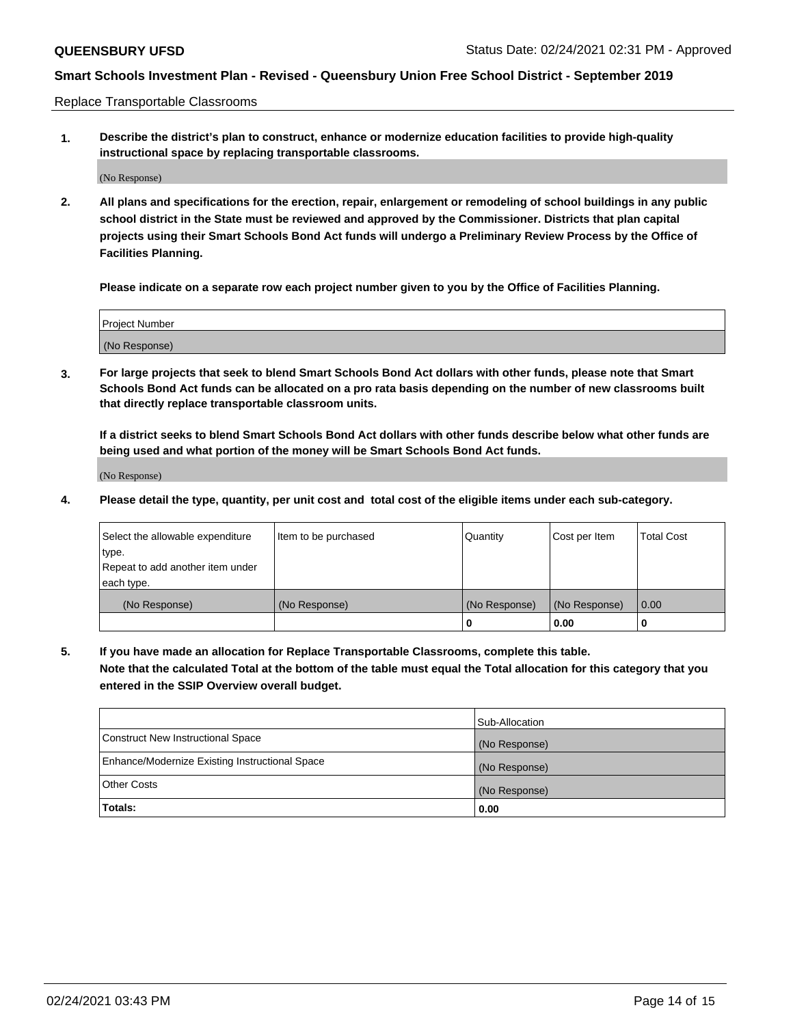Replace Transportable Classrooms

**1. Describe the district's plan to construct, enhance or modernize education facilities to provide high-quality instructional space by replacing transportable classrooms.**

(No Response)

**2. All plans and specifications for the erection, repair, enlargement or remodeling of school buildings in any public school district in the State must be reviewed and approved by the Commissioner. Districts that plan capital projects using their Smart Schools Bond Act funds will undergo a Preliminary Review Process by the Office of Facilities Planning.**

**Please indicate on a separate row each project number given to you by the Office of Facilities Planning.**

| Project Number |  |
|----------------|--|
|                |  |
|                |  |
|                |  |
|                |  |
| (No Response)  |  |
|                |  |
|                |  |
|                |  |

**3. For large projects that seek to blend Smart Schools Bond Act dollars with other funds, please note that Smart Schools Bond Act funds can be allocated on a pro rata basis depending on the number of new classrooms built that directly replace transportable classroom units.**

**If a district seeks to blend Smart Schools Bond Act dollars with other funds describe below what other funds are being used and what portion of the money will be Smart Schools Bond Act funds.**

(No Response)

**4. Please detail the type, quantity, per unit cost and total cost of the eligible items under each sub-category.**

| Select the allowable expenditure | Item to be purchased | Quantity      | Cost per Item | Total Cost |
|----------------------------------|----------------------|---------------|---------------|------------|
| ∣type.                           |                      |               |               |            |
| Repeat to add another item under |                      |               |               |            |
| each type.                       |                      |               |               |            |
| (No Response)                    | (No Response)        | (No Response) | (No Response) | 0.00       |
|                                  |                      | u             | 0.00          |            |

**5. If you have made an allocation for Replace Transportable Classrooms, complete this table. Note that the calculated Total at the bottom of the table must equal the Total allocation for this category that you entered in the SSIP Overview overall budget.**

|                                                | Sub-Allocation |
|------------------------------------------------|----------------|
| Construct New Instructional Space              | (No Response)  |
| Enhance/Modernize Existing Instructional Space | (No Response)  |
| Other Costs                                    | (No Response)  |
| Totals:                                        | 0.00           |